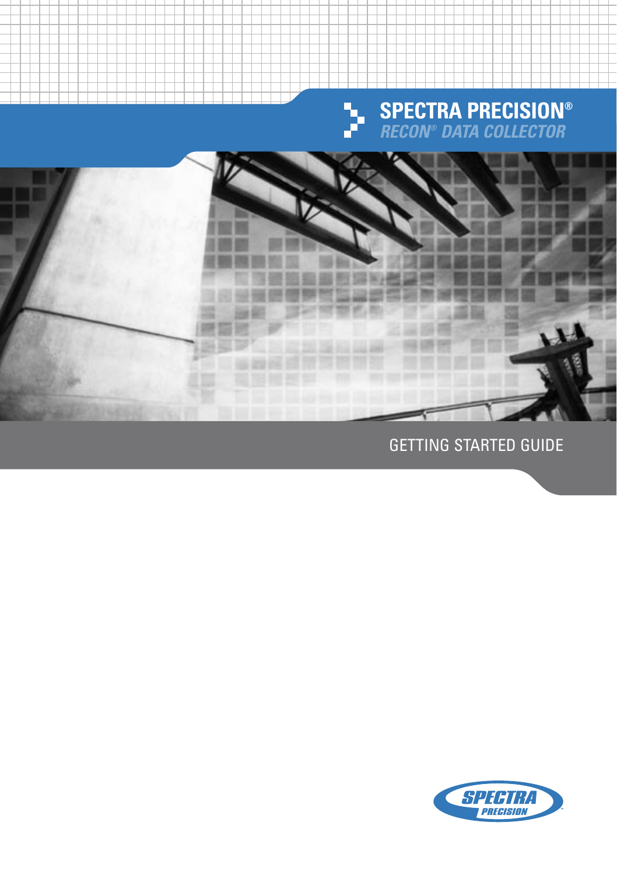



GETTING STARTED GUIDE

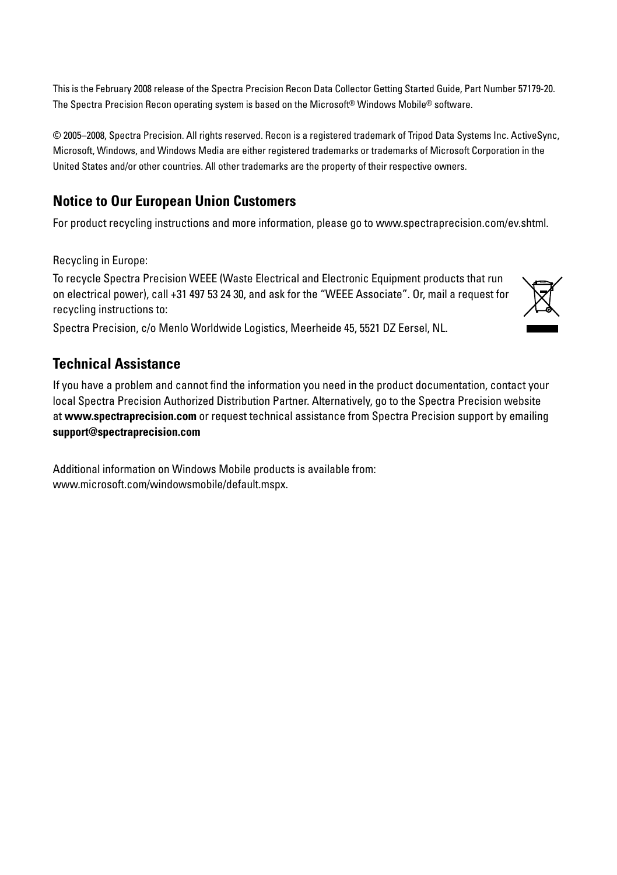This is the February 2008 release of the Spectra Precision Recon Data Collector Getting Started Guide, Part Number 57179-20. The Spectra Precision Recon operating system is based on the Microsoft® Windows Mobile® software.

© 2005–2008, Spectra Precision. All rights reserved. Recon is a registered trademark of Tripod Data Systems Inc. ActiveSync, Microsoft, Windows, and Windows Media are either registered trademarks or trademarks of Microsoft Corporation in the United States and/or other countries. All other trademarks are the property of their respective owners.

#### **Notice to Our European Union Customers**

For product recycling instructions and more information, please go to www.spectraprecision.com/ev.shtml.

Recycling in Europe:

To recycle Spectra Precision WEEE (Waste Electrical and Electronic Equipment products that run on electrical power), call +31 497 53 24 30, and ask for the "WEEE Associate". Or, mail a request for recycling instructions to:



#### **Technical Assistance**

If you have a problem and cannot find the information you need in the product documentation, contact your local Spectra Precision Authorized Distribution Partner. Alternatively, go to the Spectra Precision website at **www.spectraprecision.com** or request technical assistance from Spectra Precision support by emailing **support@spectraprecision.com**

Additional information on Windows Mobile products is available from: www.microsoft.com/windowsmobile/default.mspx.

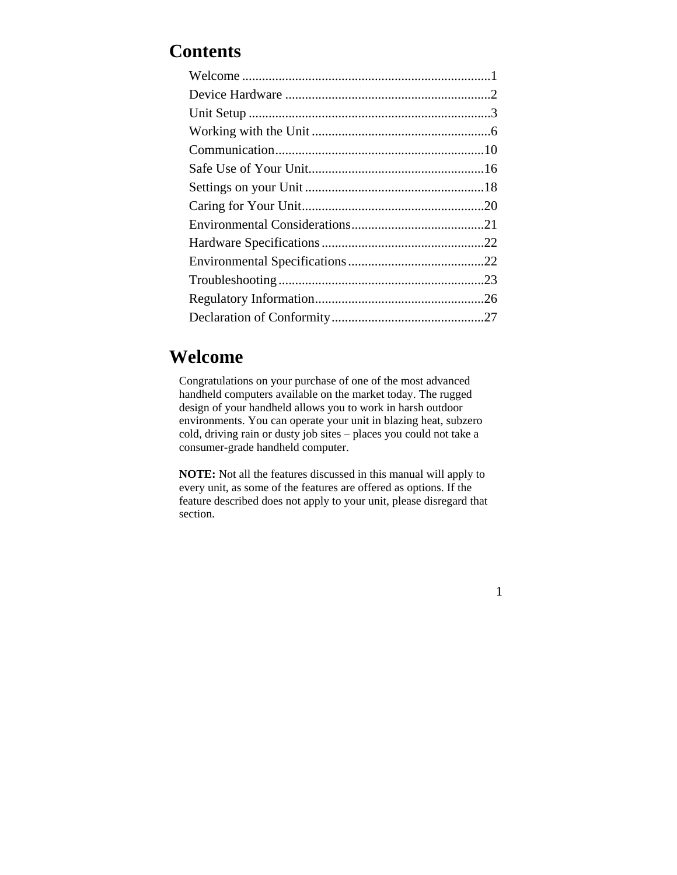# **Contents**

# **Welcome**

Congratulations on your purchase of one of the most advanced handheld computers available on the market today. The rugged design of your handheld allows you to work in harsh outdoor environments. You can operate your unit in blazing heat, subzero cold, driving rain or dusty job sites – places you could not take a consumer-grade handheld computer.

**NOTE:** Not all the features discussed in this manual will apply to every unit, as some of the features are offered as options. If the feature described does not apply to your unit, please disregard that section.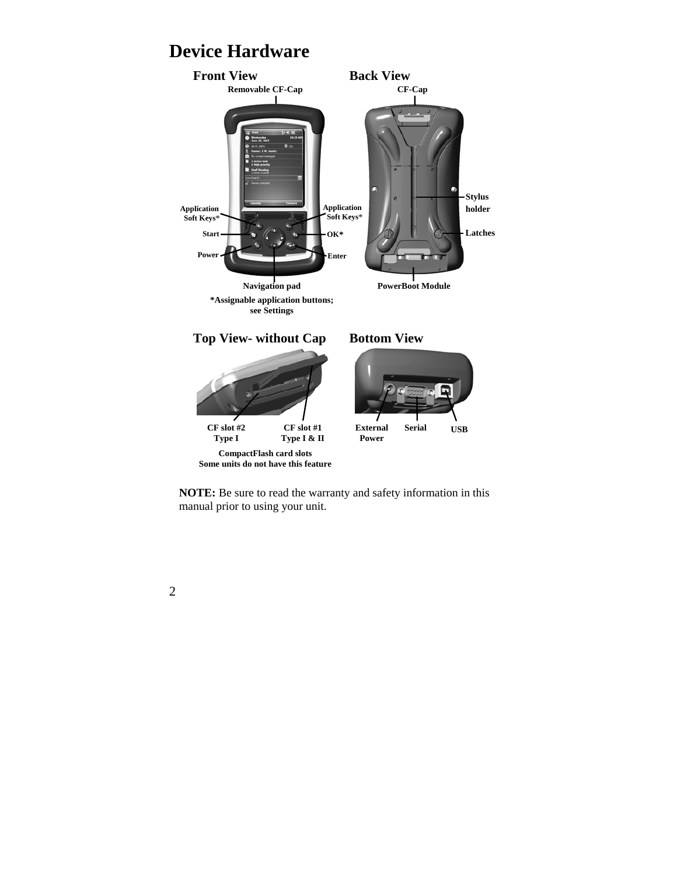# **Device Hardware**



**NOTE:** Be sure to read the warranty and safety information in this manual prior to using your unit.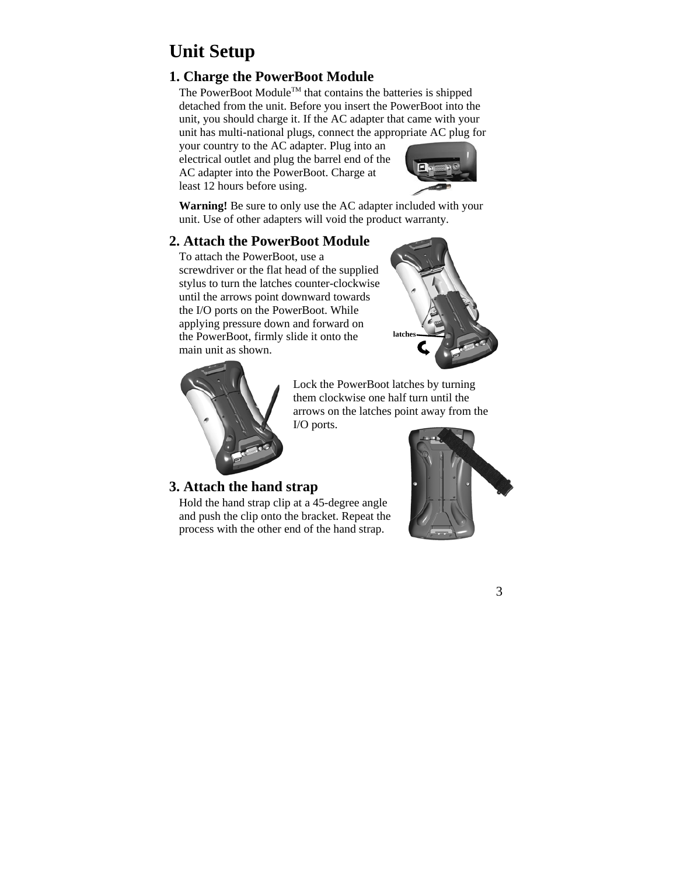# **Unit Setup**

# **1. Charge the PowerBoot Module**

The PowerBoot Module<sup>TM</sup> that contains the batteries is shipped detached from the unit. Before you insert the PowerBoot into the unit, you should charge it. If the AC adapter that came with your unit has multi-national plugs, connect the appropriate AC plug for

your country to the AC adapter. Plug into an electrical outlet and plug the barrel end of the AC adapter into the PowerBoot. Charge at least 12 hours before using.



**Warning!** Be sure to only use the AC adapter included with your unit. Use of other adapters will void the product warranty.

## **2. Attach the PowerBoot Module**

To attach the PowerBoot, use a screwdriver or the flat head of the supplied stylus to turn the latches counter-clockwise until the arrows point downward towards the I/O ports on the PowerBoot. While applying pressure down and forward on the PowerBoot, firmly slide it onto the main unit as shown.





Lock the PowerBoot latches by turning them clockwise one half turn until the arrows on the latches point away from the I/O ports.

## **3. Attach the hand strap**

Hold the hand strap clip at a 45-degree angle and push the clip onto the bracket. Repeat the process with the other end of the hand strap.

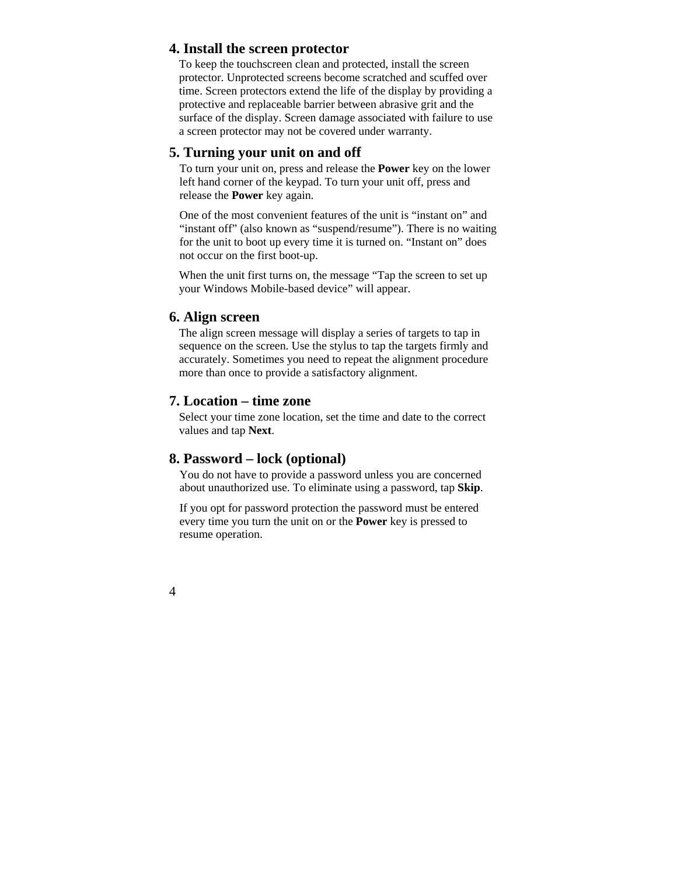### **4. Install the screen protector**

To keep the touchscreen clean and protected, install the screen protector. Unprotected screens become scratched and scuffed over time. Screen protectors extend the life of the display by providing a protective and replaceable barrier between abrasive grit and the surface of the display. Screen damage associated with failure to use a screen protector may not be covered under warranty.

## **5. Turning your unit on and off**

To turn your unit on, press and release the **Power** key on the lower left hand corner of the keypad. To turn your unit off, press and release the **Power** key again.

One of the most convenient features of the unit is "instant on" and "instant off" (also known as "suspend/resume"). There is no waiting for the unit to boot up every time it is turned on. "Instant on" does not occur on the first boot-up.

When the unit first turns on, the message "Tap the screen to set up your Windows Mobile-based device" will appear.

### **6. Align screen**

The align screen message will display a series of targets to tap in sequence on the screen. Use the stylus to tap the targets firmly and accurately. Sometimes you need to repeat the alignment procedure more than once to provide a satisfactory alignment.

### **7. Location – time zone**

Select your time zone location, set the time and date to the correct values and tap **Next**.

## **8. Password – lock (optional)**

You do not have to provide a password unless you are concerned about unauthorized use. To eliminate using a password, tap **Skip**.

If you opt for password protection the password must be entered every time you turn the unit on or the **Power** key is pressed to resume operation.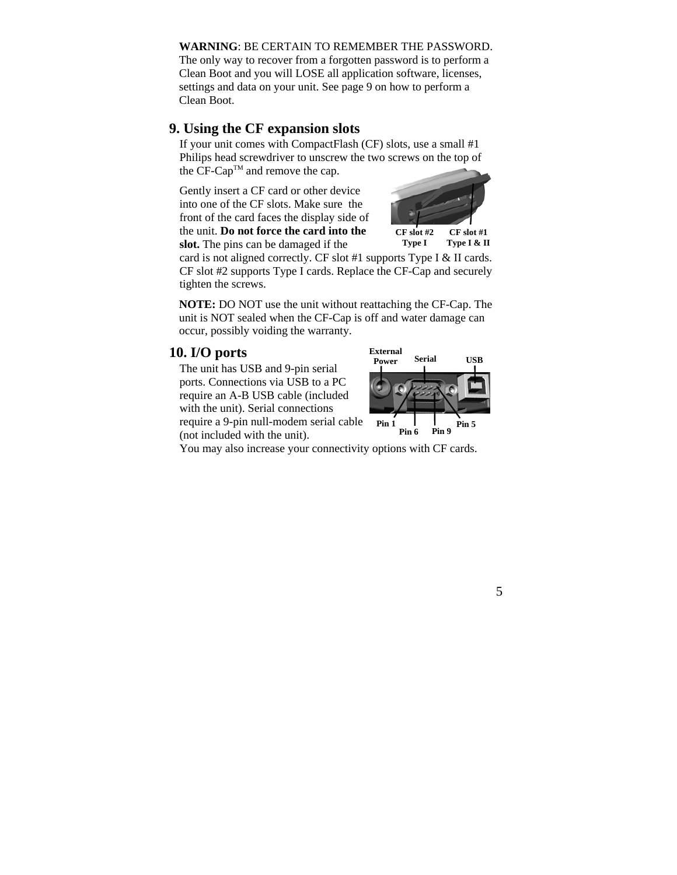#### **WARNING**: BE CERTAIN TO REMEMBER THE PASSWORD.

The only way to recover from a forgotten password is to perform a Clean Boot and you will LOSE all application software, licenses, settings and data on your unit. See page 9 on how to perform a Clean Boot.

#### **9. Using the CF expansion slots**

If your unit comes with CompactFlash (CF) slots, use a small #1 Philips head screwdriver to unscrew the two screws on the top of the CF-Cap™ and remove the cap.

Gently insert a CF card or other device into one of the CF slots. Make sure the front of the card faces the display side of the unit. **Do not force the card into the slot.** The pins can be damaged if the



**Type I Type I & II** 

card is not aligned correctly. CF slot #1 supports Type I & II cards. CF slot #2 supports Type I cards. Replace the CF-Cap and securely tighten the screws.

**NOTE:** DO NOT use the unit without reattaching the CF-Cap. The unit is NOT sealed when the CF-Cap is off and water damage can occur, possibly voiding the warranty.

## **10. I/O ports**

The unit has USB and 9-pin serial ports. Connections via USB to a PC require an A-B USB cable (included with the unit). Serial connections require a 9-pin null-modem serial cable (not included with the unit).



You may also increase your connectivity options with CF cards.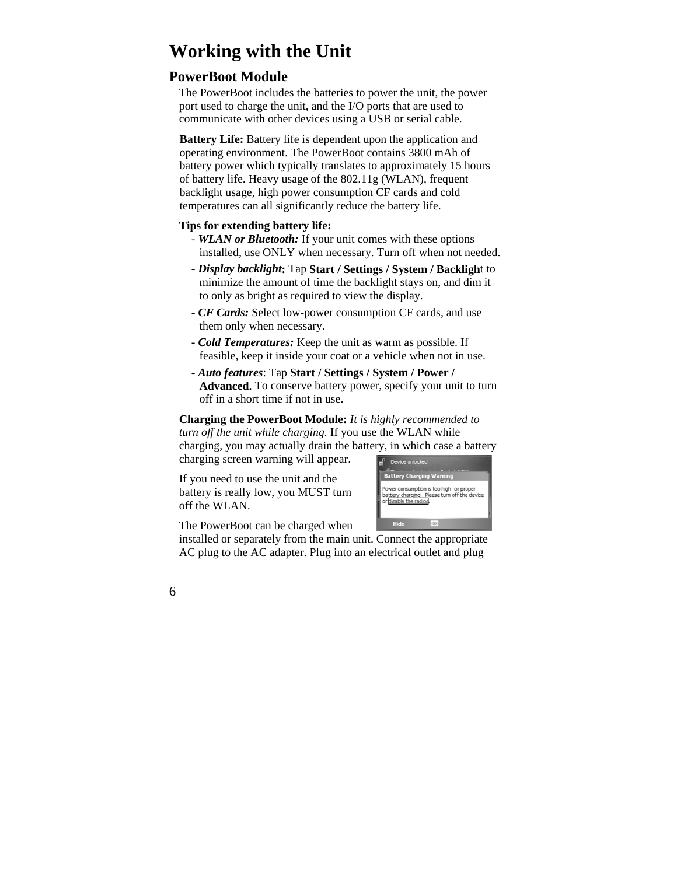# **Working with the Unit**

## **PowerBoot Module**

The PowerBoot includes the batteries to power the unit, the power port used to charge the unit, and the I/O ports that are used to communicate with other devices using a USB or serial cable.

**Battery Life:** Battery life is dependent upon the application and operating environment. The PowerBoot contains 3800 mAh of battery power which typically translates to approximately 15 hours of battery life. Heavy usage of the 802.11g (WLAN), frequent backlight usage, high power consumption CF cards and cold temperatures can all significantly reduce the battery life.

#### **Tips for extending battery life:**

- *WLAN or Bluetooth:* If your unit comes with these options installed, use ONLY when necessary. Turn off when not needed.
- *Display backlight***:** Tap **Start / Settings / System / Backligh**t to minimize the amount of time the backlight stays on, and dim it to only as bright as required to view the display.
- *CF Cards:* Select low-power consumption CF cards, and use them only when necessary.
- *Cold Temperatures:* Keep the unit as warm as possible. If feasible, keep it inside your coat or a vehicle when not in use.
- *Auto features*: Tap **Start / Settings / System / Power / Advanced.** To conserve battery power, specify your unit to turn off in a short time if not in use.

**Charging the PowerBoot Module:** *It is highly recommended to turn off the unit while charging.* If you use the WLAN while charging, you may actually drain the battery, in which case a battery

charging screen warning will appear.

If you need to use the unit and the battery is really low, you MUST turn off the WLAN.



The PowerBoot can be charged when

installed or separately from the main unit. Connect the appropriate AC plug to the AC adapter. Plug into an electrical outlet and plug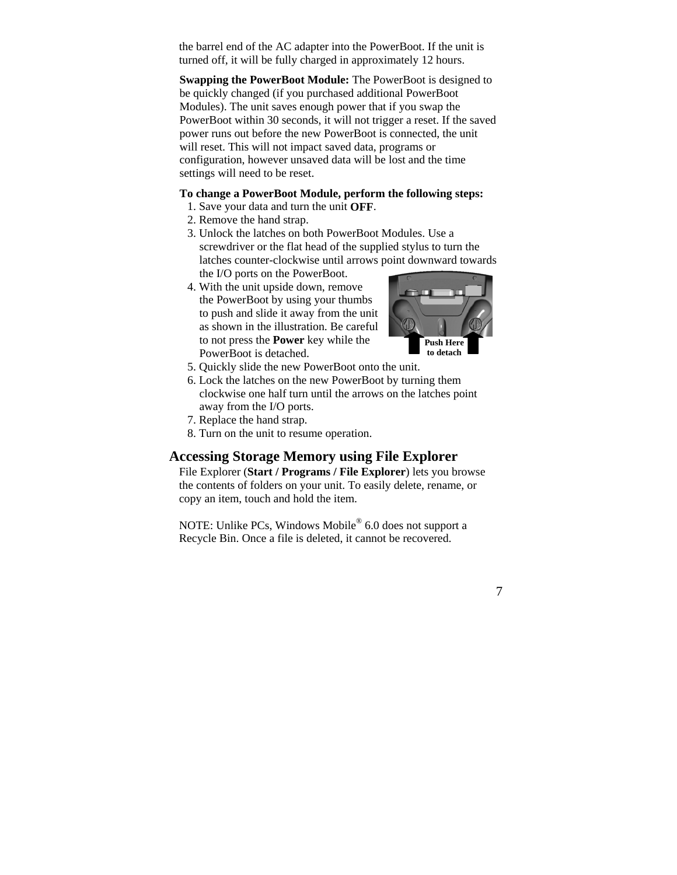the barrel end of the AC adapter into the PowerBoot. If the unit is turned off, it will be fully charged in approximately 12 hours.

**Swapping the PowerBoot Module:** The PowerBoot is designed to be quickly changed (if you purchased additional PowerBoot Modules). The unit saves enough power that if you swap the PowerBoot within 30 seconds, it will not trigger a reset. If the saved power runs out before the new PowerBoot is connected, the unit will reset. This will not impact saved data, programs or configuration, however unsaved data will be lost and the time settings will need to be reset.

#### **To change a PowerBoot Module, perform the following steps:**

- 1. Save your data and turn the unit **OFF**.
- 2. Remove the hand strap.
- 3. Unlock the latches on both PowerBoot Modules. Use a screwdriver or the flat head of the supplied stylus to turn the latches counter-clockwise until arrows point downward towards the I/O ports on the PowerBoot.
- 4. With the unit upside down, remove the PowerBoot by using your thumbs to push and slide it away from the unit as shown in the illustration. Be careful to not press the **Power** key while the PowerBoot is detached.



- 5. Quickly slide the new PowerBoot onto the unit.
- 6. Lock the latches on the new PowerBoot by turning them clockwise one half turn until the arrows on the latches point away from the I/O ports.
- 7. Replace the hand strap.
- 8. Turn on the unit to resume operation.

## **Accessing Storage Memory using File Explorer**

File Explorer (**Start / Programs / File Explorer**) lets you browse the contents of folders on your unit. To easily delete, rename, or copy an item, touch and hold the item.

NOTE: Unlike PCs, Windows Mobile® 6.0 does not support a Recycle Bin. Once a file is deleted, it cannot be recovered.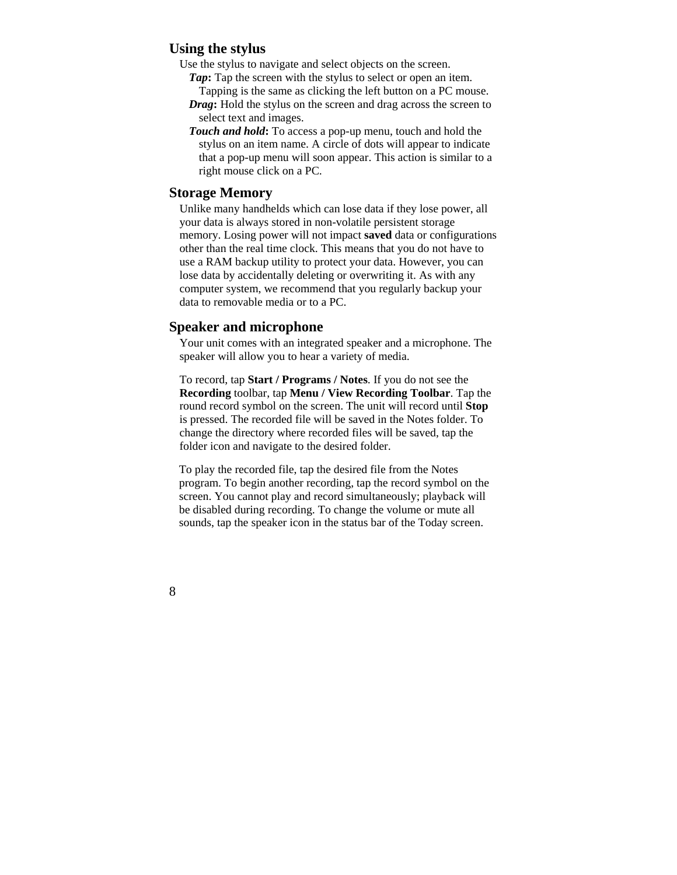### **Using the stylus**

Use the stylus to navigate and select objects on the screen.

- *Tap*: Tap the screen with the stylus to select or open an item. Tapping is the same as clicking the left button on a PC mouse.
- *Drag***:** Hold the stylus on the screen and drag across the screen to select text and images.
- *Touch and hold***:** To access a pop-up menu, touch and hold the stylus on an item name. A circle of dots will appear to indicate that a pop-up menu will soon appear. This action is similar to a right mouse click on a PC.

### **Storage Memory**

Unlike many handhelds which can lose data if they lose power, all your data is always stored in non-volatile persistent storage memory. Losing power will not impact **saved** data or configurations other than the real time clock. This means that you do not have to use a RAM backup utility to protect your data. However, you can lose data by accidentally deleting or overwriting it. As with any computer system, we recommend that you regularly backup your data to removable media or to a PC.

#### **Speaker and microphone**

Your unit comes with an integrated speaker and a microphone. The speaker will allow you to hear a variety of media.

To record, tap **Start / Programs / Notes**. If you do not see the **Recording** toolbar, tap **Menu / View Recording Toolbar**. Tap the round record symbol on the screen. The unit will record until **Stop** is pressed. The recorded file will be saved in the Notes folder. To change the directory where recorded files will be saved, tap the folder icon and navigate to the desired folder.

To play the recorded file, tap the desired file from the Notes program. To begin another recording, tap the record symbol on the screen. You cannot play and record simultaneously; playback will be disabled during recording. To change the volume or mute all sounds, tap the speaker icon in the status bar of the Today screen.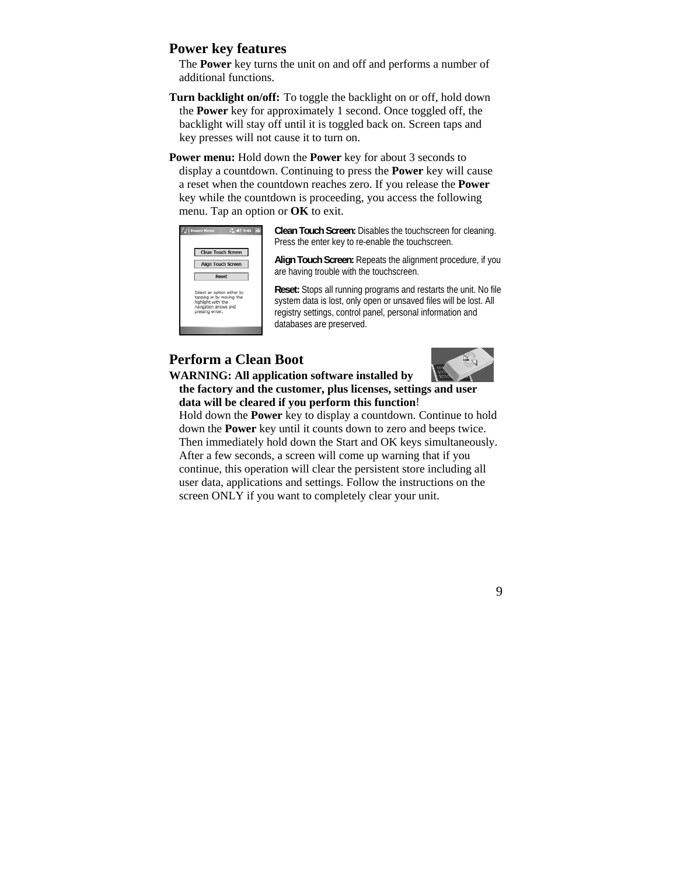### **Power key features**

The **Power** key turns the unit on and off and performs a number of additional functions.

- **Turn backlight on/off:** To toggle the backlight on or off, hold down the **Power** key for approximately 1 second. Once toggled off, the backlight will stay off until it is toggled back on. Screen taps and key presses will not cause it to turn on.
- **Power menu:** Hold down the **Power** key for about 3 seconds to display a countdown. Continuing to press the **Power** key will cause a reset when the countdown reaches zero. If you release the **Power** key while the countdown is proceeding, you access the following menu. Tap an option or **OK** to exit.



**Clean Touch Screen:** Disables the touchscreen for cleaning. Press the enter key to re-enable the touchscreen.

**Align Touch Screen:** Repeats the alignment procedure, if you are having trouble with the touchscreen.

**Reset:** Stops all running programs and restarts the unit. No file system data is lost, only open or unsaved files will be lost. All registry settings, control panel, personal information and databases are preserved.

# **Perform a Clean Boot**



#### **WARNING: All application software installed by the factory and the customer, plus licenses, settings and user data will be cleared if you perform this function**!

Hold down the **Power** key to display a countdown. Continue to hold down the **Power** key until it counts down to zero and beeps twice. Then immediately hold down the Start and OK keys simultaneously. After a few seconds, a screen will come up warning that if you continue, this operation will clear the persistent store including all user data, applications and settings. Follow the instructions on the screen ONLY if you want to completely clear your unit.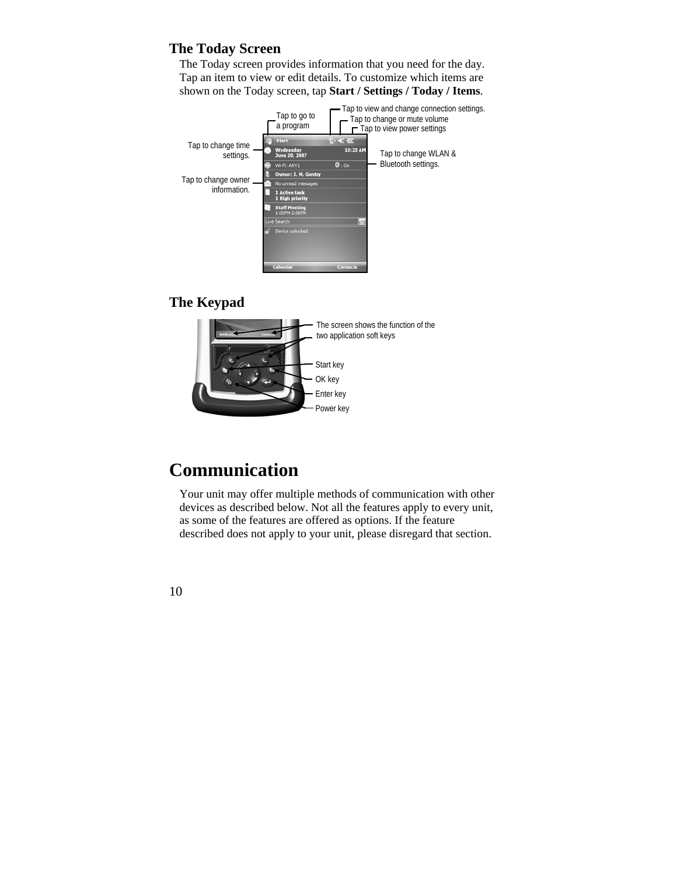# **The Today Screen**

The Today screen provides information that you need for the day. Tap an item to view or edit details. To customize which items are shown on the Today screen, tap **Start / Settings / Today / Items**.



# **The Keypad**



# **Communication**

Your unit may offer multiple methods of communication with other devices as described below. Not all the features apply to every unit, as some of the features are offered as options. If the feature described does not apply to your unit, please disregard that section.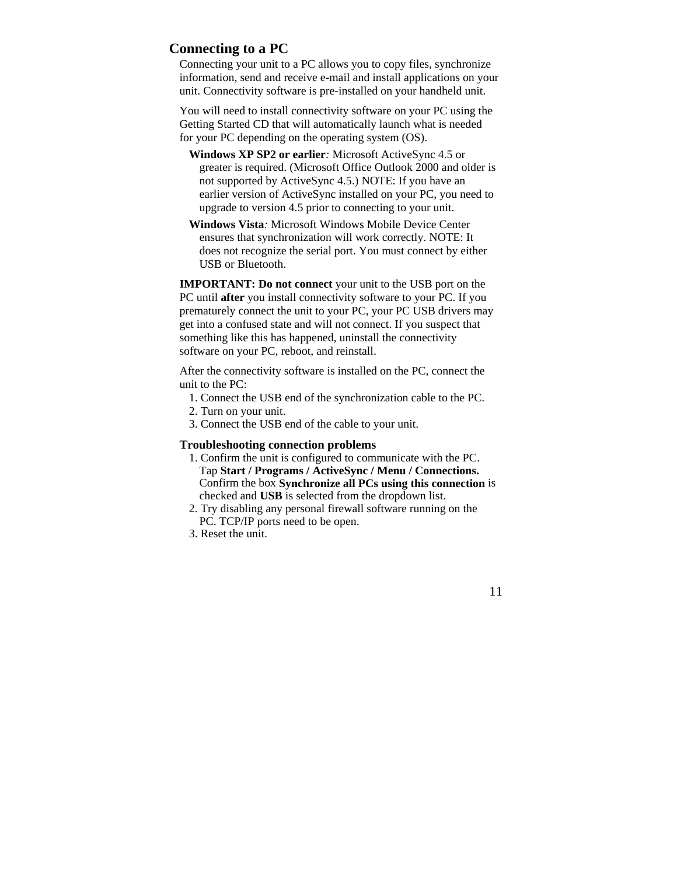## **Connecting to a PC**

Connecting your unit to a PC allows you to copy files, synchronize information, send and receive e-mail and install applications on your unit. Connectivity software is pre-installed on your handheld unit.

You will need to install connectivity software on your PC using the Getting Started CD that will automatically launch what is needed for your PC depending on the operating system (OS).

- **Windows XP SP2 or earlier***:* Microsoft ActiveSync 4.5 or greater is required. (Microsoft Office Outlook 2000 and older is not supported by ActiveSync 4.5.) NOTE: If you have an earlier version of ActiveSync installed on your PC, you need to upgrade to version 4.5 prior to connecting to your unit.
- **Windows Vista***:* Microsoft Windows Mobile Device Center ensures that synchronization will work correctly. NOTE: It does not recognize the serial port. You must connect by either USB or Bluetooth.

**IMPORTANT: Do not connect** your unit to the USB port on the PC until **after** you install connectivity software to your PC. If you prematurely connect the unit to your PC, your PC USB drivers may get into a confused state and will not connect. If you suspect that something like this has happened, uninstall the connectivity software on your PC, reboot, and reinstall.

After the connectivity software is installed on the PC, connect the unit to the  $PC<sup>2</sup>$ 

- 1. Connect the USB end of the synchronization cable to the PC.
- 2. Turn on your unit.
- 3. Connect the USB end of the cable to your unit.

#### **Troubleshooting connection problems**

- 1. Confirm the unit is configured to communicate with the PC. Tap **Start / Programs / ActiveSync / Menu / Connections.**  Confirm the box **Synchronize all PCs using this connection** is checked and **USB** is selected from the dropdown list.
- 2. Try disabling any personal firewall software running on the PC. TCP/IP ports need to be open.
- 3. Reset the unit.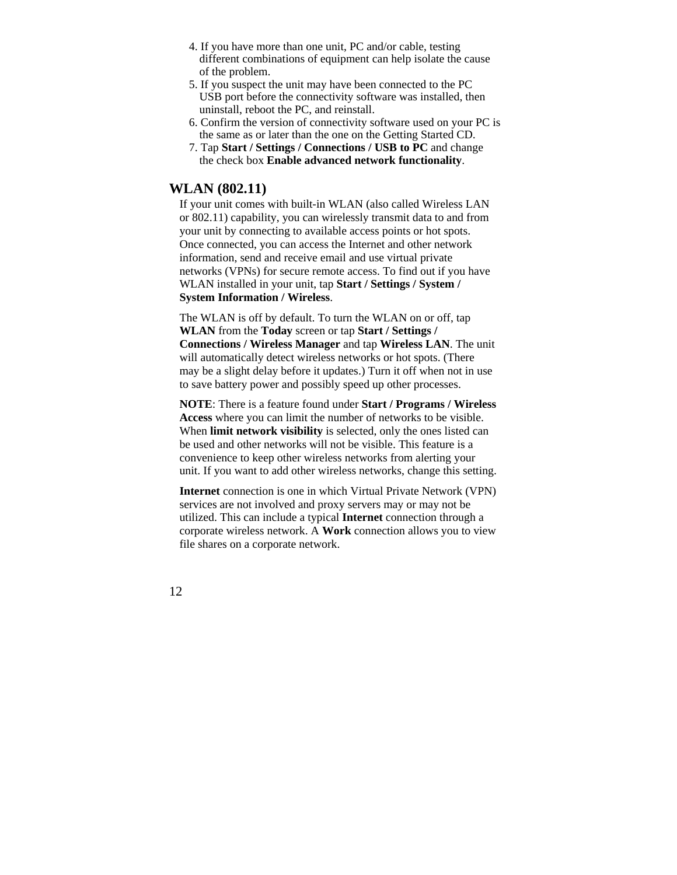- 4. If you have more than one unit, PC and/or cable, testing different combinations of equipment can help isolate the cause of the problem.
- 5. If you suspect the unit may have been connected to the PC USB port before the connectivity software was installed, then uninstall, reboot the PC, and reinstall.
- 6. Confirm the version of connectivity software used on your PC is the same as or later than the one on the Getting Started CD.
- 7. Tap **Start / Settings / Connections / USB to PC** and change the check box **Enable advanced network functionality**.

## **WLAN (802.11)**

If your unit comes with built-in WLAN (also called Wireless LAN or 802.11) capability, you can wirelessly transmit data to and from your unit by connecting to available access points or hot spots. Once connected, you can access the Internet and other network information, send and receive email and use virtual private networks (VPNs) for secure remote access. To find out if you have WLAN installed in your unit, tap **Start / Settings / System / System Information / Wireless**.

The WLAN is off by default. To turn the WLAN on or off, tap **WLAN** from the **Today** screen or tap **Start / Settings / Connections / Wireless Manager** and tap **Wireless LAN**. The unit will automatically detect wireless networks or hot spots. (There may be a slight delay before it updates.) Turn it off when not in use to save battery power and possibly speed up other processes.

**NOTE**: There is a feature found under **Start / Programs / Wireless Access** where you can limit the number of networks to be visible. When **limit network visibility** is selected, only the ones listed can be used and other networks will not be visible. This feature is a convenience to keep other wireless networks from alerting your unit. If you want to add other wireless networks, change this setting.

**Internet** connection is one in which Virtual Private Network (VPN) services are not involved and proxy servers may or may not be utilized. This can include a typical **Internet** connection through a corporate wireless network. A **Work** connection allows you to view file shares on a corporate network.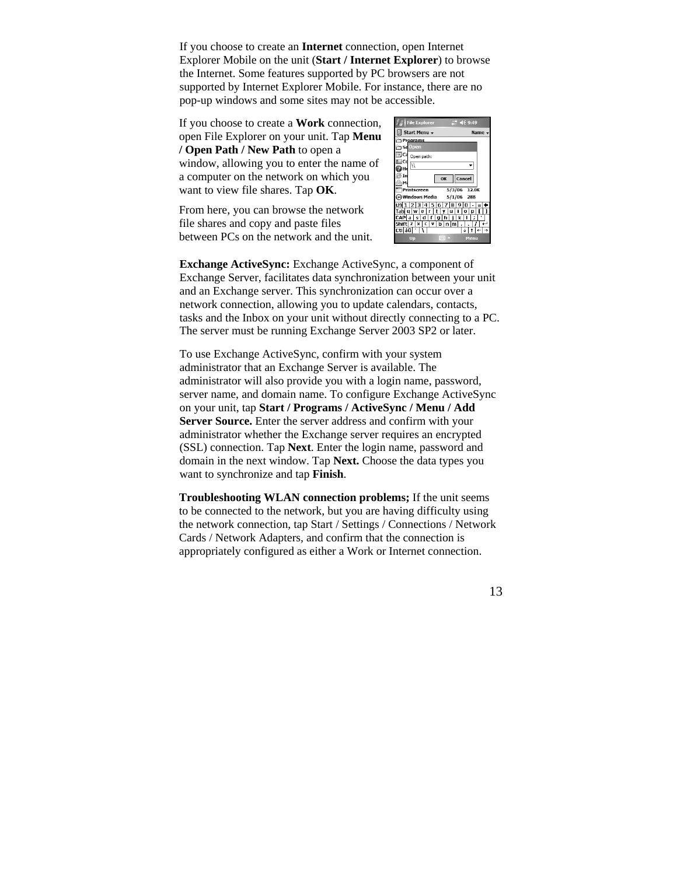If you choose to create an **Internet** connection, open Internet Explorer Mobile on the unit (**Start / Internet Explorer**) to browse the Internet. Some features supported by PC browsers are not supported by Internet Explorer Mobile. For instance, there are no pop-up windows and some sites may not be accessible.

If you choose to create a **Work** connection, open File Explorer on your unit. Tap **Menu / Open Path / New Path** to open a window, allowing you to enter the name of a computer on the network on which you want to view file shares. Tap **OK**.

From here, you can browse the network file shares and copy and paste files between PCs on the network and the unit.

|        | $+ 469.49$<br><b>File Explorer</b> |
|--------|------------------------------------|
|        | Start Menu v<br>Name -             |
|        | Programs                           |
|        | <b>im se</b> Open                  |
| Ca     | Open path:                         |
| Cd     | $\frac{1}{2}$                      |
|        |                                    |
| In     | OK Cancel                          |
|        |                                    |
|        | $5/3/06$ 12.0K<br>Printscreen      |
|        | Windows Media 5/1/06<br><b>28B</b> |
|        | 3 4 5 6 7 8<br>19<br>n<br>2        |
| Tabl   |                                    |
| ΓA     | s<br>v<br>×<br>m                   |
| Cti au | ↑│←│→                              |
|        | 77777<br>Up<br>Menu                |

**Exchange ActiveSync:** Exchange ActiveSync, a component of Exchange Server, facilitates data synchronization between your unit and an Exchange server. This synchronization can occur over a network connection, allowing you to update calendars, contacts, tasks and the Inbox on your unit without directly connecting to a PC. The server must be running Exchange Server 2003 SP2 or later.

To use Exchange ActiveSync, confirm with your system administrator that an Exchange Server is available. The administrator will also provide you with a login name, password, server name, and domain name. To configure Exchange ActiveSync on your unit, tap **Start / Programs / ActiveSync / Menu / Add Server Source.** Enter the server address and confirm with your administrator whether the Exchange server requires an encrypted (SSL) connection. Tap **Next**. Enter the login name, password and domain in the next window. Tap **Next.** Choose the data types you want to synchronize and tap **Finish**.

**Troubleshooting WLAN connection problems;** If the unit seems to be connected to the network, but you are having difficulty using the network connection, tap Start / Settings / Connections / Network Cards / Network Adapters, and confirm that the connection is appropriately configured as either a Work or Internet connection.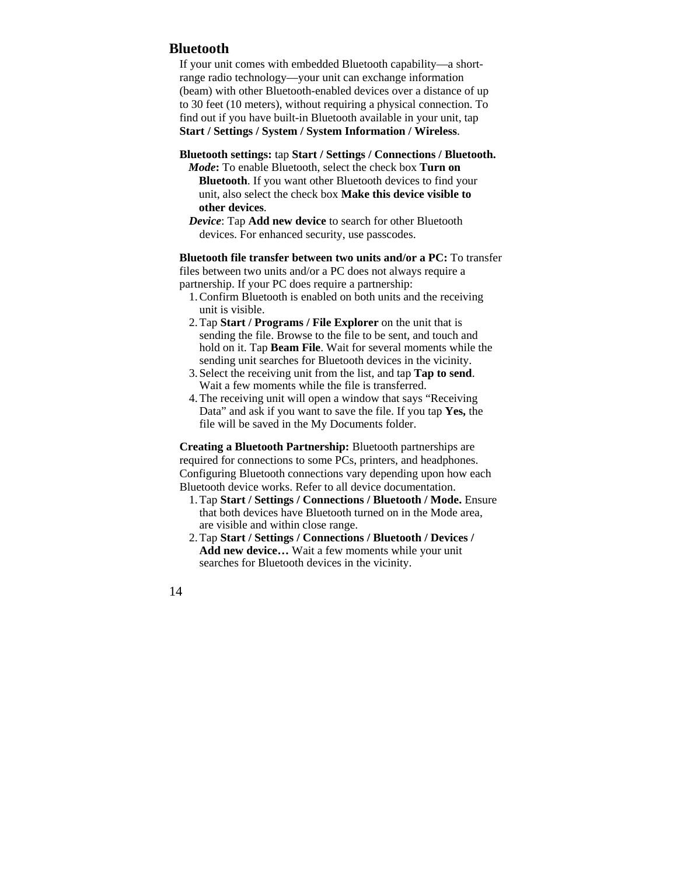## **Bluetooth**

If your unit comes with embedded Bluetooth capability—a shortrange radio technology—your unit can exchange information (beam) with other Bluetooth-enabled devices over a distance of up to 30 feet (10 meters), without requiring a physical connection. To find out if you have built-in Bluetooth available in your unit, tap **Start / Settings / System / System Information / Wireless**.

- **Bluetooth settings:** tap **Start / Settings / Connections / Bluetooth.** 
	- *Mode***:** To enable Bluetooth, select the check box **Turn on Bluetooth**. If you want other Bluetooth devices to find your unit, also select the check box **Make this device visible to other devices**.
	- *Device*: Tap **Add new device** to search for other Bluetooth devices. For enhanced security, use passcodes.

**Bluetooth file transfer between two units and/or a PC:** To transfer files between two units and/or a PC does not always require a partnership. If your PC does require a partnership:

- 1.Confirm Bluetooth is enabled on both units and the receiving unit is visible.
- 2.Tap **Start / Programs / File Explorer** on the unit that is sending the file. Browse to the file to be sent, and touch and hold on it. Tap **Beam File**. Wait for several moments while the sending unit searches for Bluetooth devices in the vicinity.
- 3.Select the receiving unit from the list, and tap **Tap to send**. Wait a few moments while the file is transferred.
- 4.The receiving unit will open a window that says "Receiving Data" and ask if you want to save the file. If you tap **Yes,** the file will be saved in the My Documents folder.

**Creating a Bluetooth Partnership:** Bluetooth partnerships are required for connections to some PCs, printers, and headphones. Configuring Bluetooth connections vary depending upon how each Bluetooth device works. Refer to all device documentation.

- 1.Tap **Start / Settings / Connections / Bluetooth / Mode.** Ensure that both devices have Bluetooth turned on in the Mode area, are visible and within close range.
- 2.Tap **Start / Settings / Connections / Bluetooth / Devices / Add new device…** Wait a few moments while your unit searches for Bluetooth devices in the vicinity.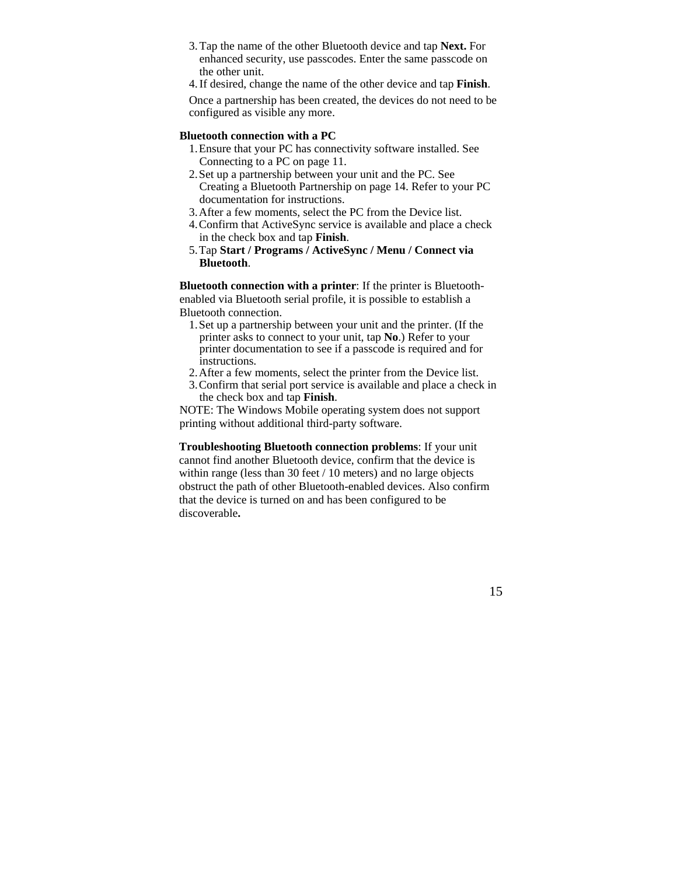- 3.Tap the name of the other Bluetooth device and tap **Next.** For enhanced security, use passcodes. Enter the same passcode on the other unit.
- 4.If desired, change the name of the other device and tap **Finish**.

Once a partnership has been created, the devices do not need to be configured as visible any more.

#### **Bluetooth connection with a PC**

- 1.Ensure that your PC has connectivity software installed. See Connecting to a PC on page 11.
- 2.Set up a partnership between your unit and the PC. See Creating a Bluetooth Partnership on page 14. Refer to your PC documentation for instructions.
- 3.After a few moments, select the PC from the Device list.
- 4.Confirm that ActiveSync service is available and place a check in the check box and tap **Finish**.
- 5.Tap **Start / Programs / ActiveSync / Menu / Connect via Bluetooth**.

**Bluetooth connection with a printer**: If the printer is Bluetoothenabled via Bluetooth serial profile, it is possible to establish a Bluetooth connection.

- 1.Set up a partnership between your unit and the printer. (If the printer asks to connect to your unit, tap **No**.) Refer to your printer documentation to see if a passcode is required and for instructions.
- 2.After a few moments, select the printer from the Device list.
- 3.Confirm that serial port service is available and place a check in the check box and tap **Finish**.

NOTE: The Windows Mobile operating system does not support printing without additional third-party software.

**Troubleshooting Bluetooth connection problems**: If your unit cannot find another Bluetooth device, confirm that the device is within range (less than 30 feet / 10 meters) and no large objects obstruct the path of other Bluetooth-enabled devices. Also confirm that the device is turned on and has been configured to be discoverable**.**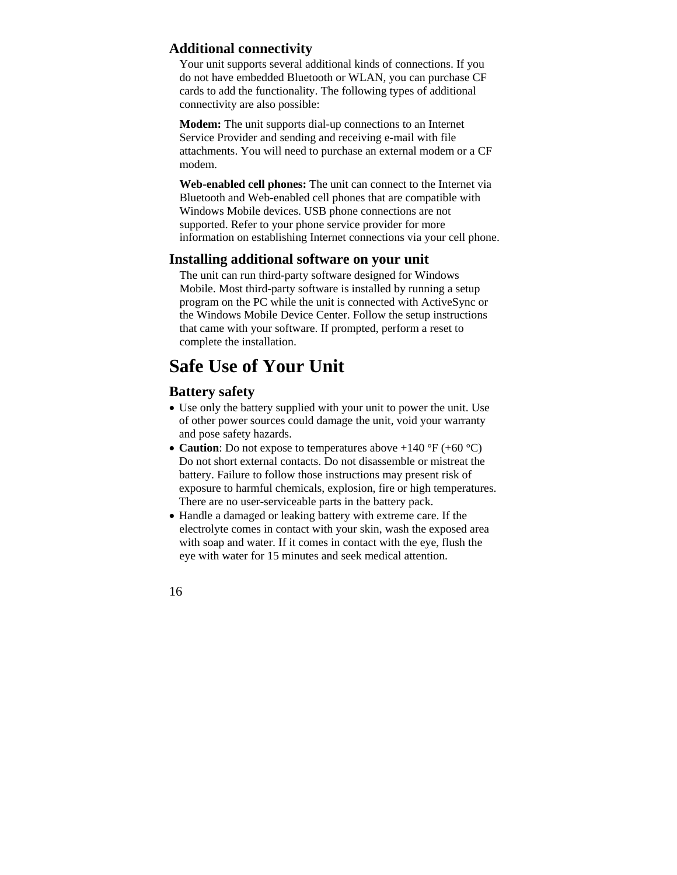# **Additional connectivity**

Your unit supports several additional kinds of connections. If you do not have embedded Bluetooth or WLAN, you can purchase CF cards to add the functionality. The following types of additional connectivity are also possible:

**Modem:** The unit supports dial-up connections to an Internet Service Provider and sending and receiving e-mail with file attachments. You will need to purchase an external modem or a CF modem.

**Web-enabled cell phones:** The unit can connect to the Internet via Bluetooth and Web-enabled cell phones that are compatible with Windows Mobile devices. USB phone connections are not supported. Refer to your phone service provider for more information on establishing Internet connections via your cell phone.

# **Installing additional software on your unit**

The unit can run third-party software designed for Windows Mobile. Most third-party software is installed by running a setup program on the PC while the unit is connected with ActiveSync or the Windows Mobile Device Center. Follow the setup instructions that came with your software. If prompted, perform a reset to complete the installation.

# **Safe Use of Your Unit**

# **Battery safety**

- Use only the battery supplied with your unit to power the unit. Use of other power sources could damage the unit, void your warranty and pose safety hazards.
- **Caution**: Do not expose to temperatures above +140 **°**F (+60 **°**C) Do not short external contacts. Do not disassemble or mistreat the battery. Failure to follow those instructions may present risk of exposure to harmful chemicals, explosion, fire or high temperatures. There are no user-serviceable parts in the battery pack.
- Handle a damaged or leaking battery with extreme care. If the electrolyte comes in contact with your skin, wash the exposed area with soap and water. If it comes in contact with the eye, flush the eye with water for 15 minutes and seek medical attention.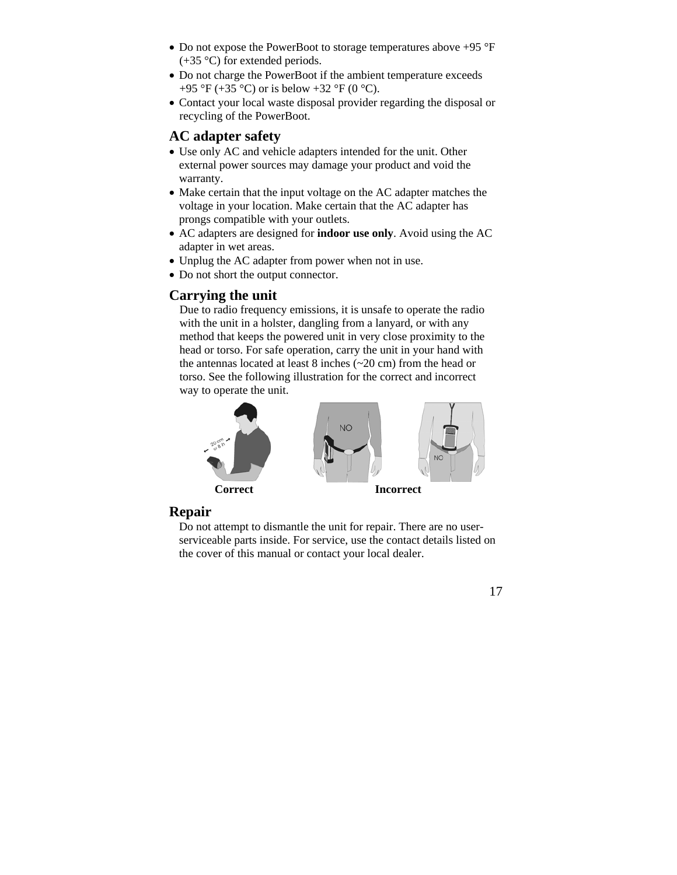- Do not expose the PowerBoot to storage temperatures above +95 °F  $(+35 \degree C)$  for extended periods.
- Do not charge the PowerBoot if the ambient temperature exceeds +95 °F (+35 °C) or is below +32 °F (0 °C).
- Contact your local waste disposal provider regarding the disposal or recycling of the PowerBoot.

# **AC adapter safety**

- Use only AC and vehicle adapters intended for the unit. Other external power sources may damage your product and void the warranty.
- Make certain that the input voltage on the AC adapter matches the voltage in your location. Make certain that the AC adapter has prongs compatible with your outlets.
- AC adapters are designed for **indoor use only**. Avoid using the AC adapter in wet areas.
- Unplug the AC adapter from power when not in use.
- Do not short the output connector.

## **Carrying the unit**

Due to radio frequency emissions, it is unsafe to operate the radio with the unit in a holster, dangling from a lanyard, or with any method that keeps the powered unit in very close proximity to the head or torso. For safe operation, carry the unit in your hand with the antennas located at least 8 inches (~20 cm) from the head or torso. See the following illustration for the correct and incorrect way to operate the unit.



## **Repair**

Do not attempt to dismantle the unit for repair. There are no userserviceable parts inside. For service, use the contact details listed on the cover of this manual or contact your local dealer.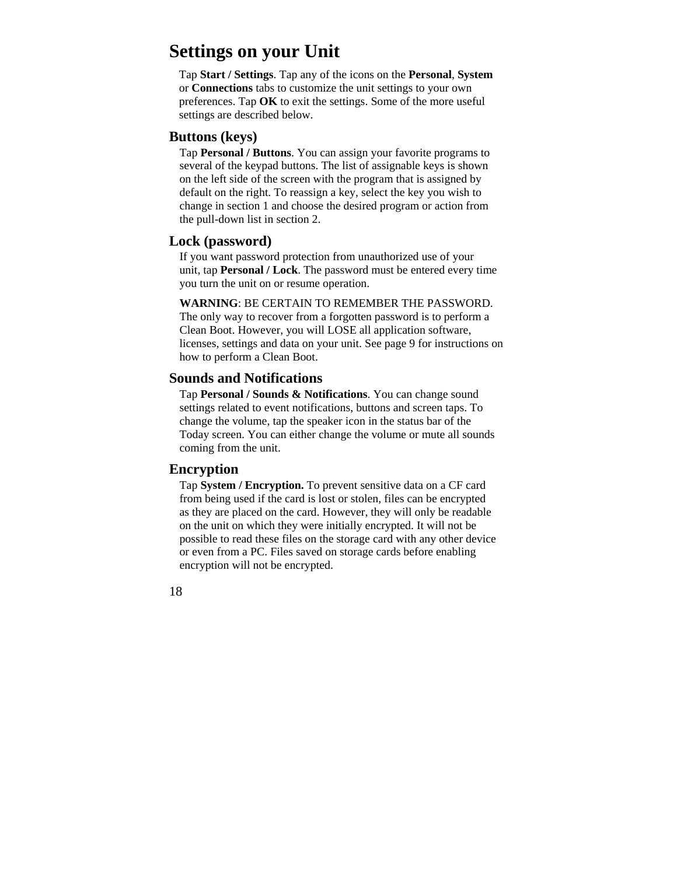# **Settings on your Unit**

Tap **Start / Settings**. Tap any of the icons on the **Personal**, **System** or **Connections** tabs to customize the unit settings to your own preferences. Tap **OK** to exit the settings. Some of the more useful settings are described below.

### **Buttons (keys)**

Tap **Personal / Buttons**. You can assign your favorite programs to several of the keypad buttons. The list of assignable keys is shown on the left side of the screen with the program that is assigned by default on the right. To reassign a key, select the key you wish to change in section 1 and choose the desired program or action from the pull-down list in section 2.

## **Lock (password)**

If you want password protection from unauthorized use of your unit, tap **Personal / Lock**. The password must be entered every time you turn the unit on or resume operation.

**WARNING**: BE CERTAIN TO REMEMBER THE PASSWORD. The only way to recover from a forgotten password is to perform a Clean Boot. However, you will LOSE all application software, licenses, settings and data on your unit. See page 9 for instructions on how to perform a Clean Boot.

## **Sounds and Notifications**

Tap **Personal / Sounds & Notifications**. You can change sound settings related to event notifications, buttons and screen taps. To change the volume, tap the speaker icon in the status bar of the Today screen. You can either change the volume or mute all sounds coming from the unit.

## **Encryption**

Tap **System / Encryption.** To prevent sensitive data on a CF card from being used if the card is lost or stolen, files can be encrypted as they are placed on the card. However, they will only be readable on the unit on which they were initially encrypted. It will not be possible to read these files on the storage card with any other device or even from a PC. Files saved on storage cards before enabling encryption will not be encrypted.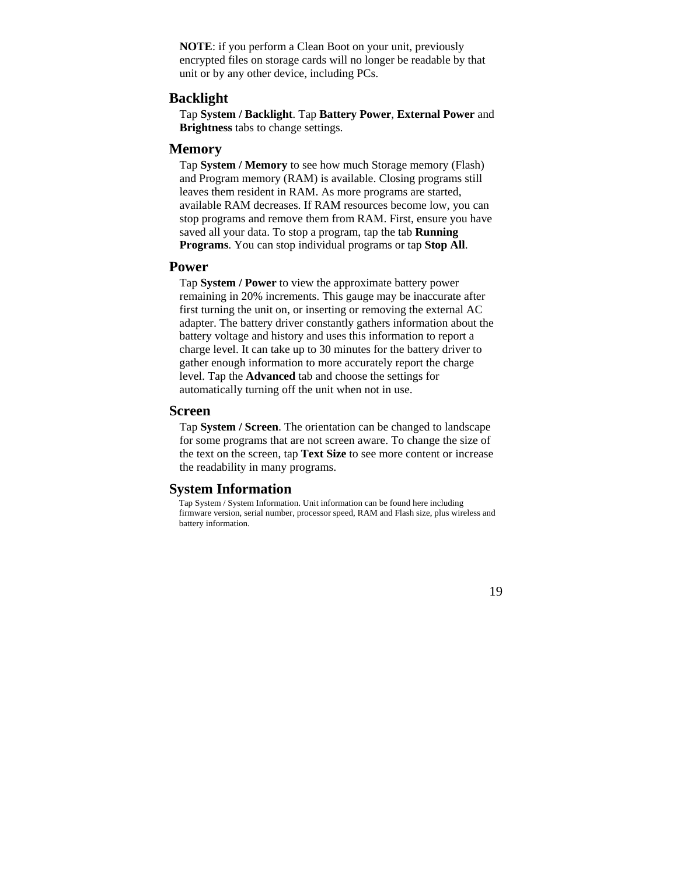**NOTE**: if you perform a Clean Boot on your unit, previously encrypted files on storage cards will no longer be readable by that unit or by any other device, including PCs.

### **Backlight**

Tap **System / Backlight**. Tap **Battery Power**, **External Power** and **Brightness** tabs to change settings.

## **Memory**

Tap **System / Memory** to see how much Storage memory (Flash) and Program memory (RAM) is available. Closing programs still leaves them resident in RAM. As more programs are started, available RAM decreases. If RAM resources become low, you can stop programs and remove them from RAM. First, ensure you have saved all your data. To stop a program, tap the tab **Running Programs**. You can stop individual programs or tap **Stop All**.

## **Power**

Tap **System / Power** to view the approximate battery power remaining in 20% increments. This gauge may be inaccurate after first turning the unit on, or inserting or removing the external AC adapter. The battery driver constantly gathers information about the battery voltage and history and uses this information to report a charge level. It can take up to 30 minutes for the battery driver to gather enough information to more accurately report the charge level. Tap the **Advanced** tab and choose the settings for automatically turning off the unit when not in use.

## **Screen**

Tap **System / Screen**. The orientation can be changed to landscape for some programs that are not screen aware. To change the size of the text on the screen, tap **Text Size** to see more content or increase the readability in many programs.

## **System Information**

Tap System / System Information. Unit information can be found here including firmware version, serial number, processor speed, RAM and Flash size, plus wireless and battery information.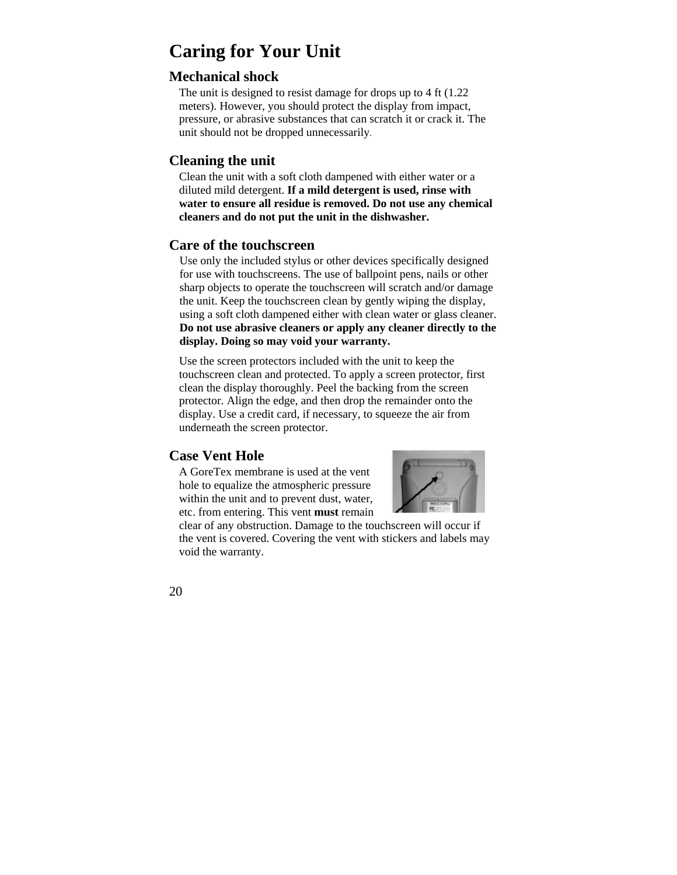# **Caring for Your Unit**

## **Mechanical shock**

The unit is designed to resist damage for drops up to 4 ft  $(1.22)$ meters). However, you should protect the display from impact, pressure, or abrasive substances that can scratch it or crack it. The unit should not be dropped unnecessarily.

## **Cleaning the unit**

Clean the unit with a soft cloth dampened with either water or a diluted mild detergent. **If a mild detergent is used, rinse with water to ensure all residue is removed. Do not use any chemical cleaners and do not put the unit in the dishwasher.** 

## **Care of the touchscreen**

Use only the included stylus or other devices specifically designed for use with touchscreens. The use of ballpoint pens, nails or other sharp objects to operate the touchscreen will scratch and/or damage the unit. Keep the touchscreen clean by gently wiping the display, using a soft cloth dampened either with clean water or glass cleaner. **Do not use abrasive cleaners or apply any cleaner directly to the display. Doing so may void your warranty.** 

Use the screen protectors included with the unit to keep the touchscreen clean and protected. To apply a screen protector, first clean the display thoroughly. Peel the backing from the screen protector. Align the edge, and then drop the remainder onto the display. Use a credit card, if necessary, to squeeze the air from underneath the screen protector.

# **Case Vent Hole**

A GoreTex membrane is used at the vent hole to equalize the atmospheric pressure within the unit and to prevent dust, water, etc. from entering. This vent **must** remain



clear of any obstruction. Damage to the touchscreen will occur if the vent is covered. Covering the vent with stickers and labels may void the warranty.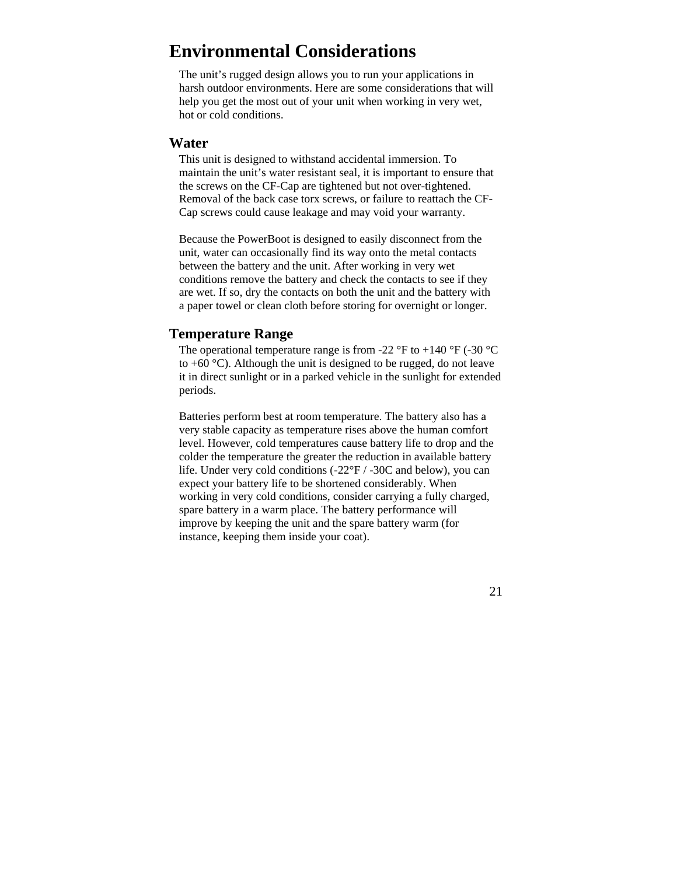# **Environmental Considerations**

The unit's rugged design allows you to run your applications in harsh outdoor environments. Here are some considerations that will help you get the most out of your unit when working in very wet, hot or cold conditions.

#### **Water**

This unit is designed to withstand accidental immersion. To maintain the unit's water resistant seal, it is important to ensure that the screws on the CF-Cap are tightened but not over-tightened. Removal of the back case torx screws, or failure to reattach the CF-Cap screws could cause leakage and may void your warranty.

Because the PowerBoot is designed to easily disconnect from the unit, water can occasionally find its way onto the metal contacts between the battery and the unit. After working in very wet conditions remove the battery and check the contacts to see if they are wet. If so, dry the contacts on both the unit and the battery with a paper towel or clean cloth before storing for overnight or longer.

### **Temperature Range**

The operational temperature range is from -22  $\degree$ F to +140  $\degree$ F (-30  $\degree$ C to  $+60$  °C). Although the unit is designed to be rugged, do not leave it in direct sunlight or in a parked vehicle in the sunlight for extended periods.

Batteries perform best at room temperature. The battery also has a very stable capacity as temperature rises above the human comfort level. However, cold temperatures cause battery life to drop and the colder the temperature the greater the reduction in available battery life. Under very cold conditions (-22°F / -30C and below), you can expect your battery life to be shortened considerably. When working in very cold conditions, consider carrying a fully charged, spare battery in a warm place. The battery performance will improve by keeping the unit and the spare battery warm (for instance, keeping them inside your coat).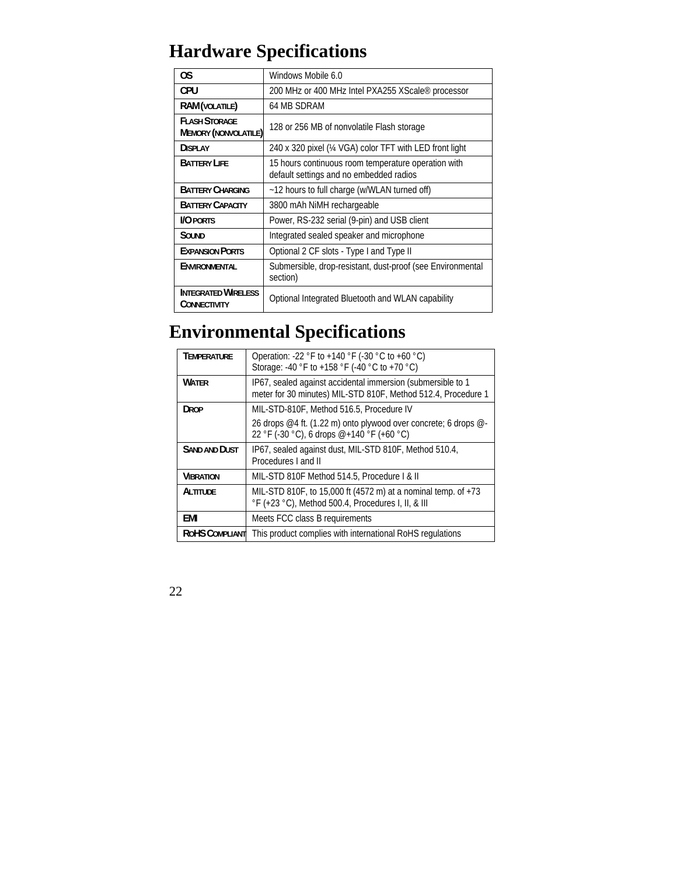# **Hardware Specifications**

| 0S                                                  | Windows Mobile 6.0                                                                             |
|-----------------------------------------------------|------------------------------------------------------------------------------------------------|
| CPU                                                 | 200 MHz or 400 MHz Intel PXA255 XScale® processor                                              |
| <b>RAM</b> (VOLATILE)                               | 64 MB SDRAM                                                                                    |
| <b>FLASH STORAGE</b><br><b>MEMORY (NONVOLATILE)</b> | 128 or 256 MB of nonvolatile Flash storage                                                     |
| <b>DISPLAY</b>                                      | 240 x 320 pixel (¼ VGA) color TFT with LED front light                                         |
| <b>BATTERY LIFE</b>                                 | 15 hours continuous room temperature operation with<br>default settings and no embedded radios |
| <b>BATTERY CHARGING</b>                             | ~12 hours to full charge (w/WLAN turned off)                                                   |
| <b>BATTERY CAPACITY</b>                             | 3800 mAh NiMH rechargeable                                                                     |
| <b>I/O PORTS</b>                                    | Power, RS-232 serial (9-pin) and USB client                                                    |
| SOUND                                               | Integrated sealed speaker and microphone                                                       |
| <b>EXPANSION PORTS</b>                              | Optional 2 CF slots - Type I and Type II                                                       |
| ENVIRONMENTAL                                       | Submersible, drop-resistant, dust-proof (see Environmental<br>section)                         |
| <b>INTEGRATED WIRELESS</b><br>CONNECTIVITY          | Optional Integrated Bluetooth and WLAN capability                                              |

# **Environmental Specifications**

| <b>TEMPERATURE</b> | Operation: -22 °F to +140 °F (-30 °C to +60 °C)<br>Storage: -40 °F to +158 °F (-40 °C to +70 °C)                             |
|--------------------|------------------------------------------------------------------------------------------------------------------------------|
| <b>WATER</b>       | IP67, sealed against accidental immersion (submersible to 1<br>meter for 30 minutes) MIL-STD 810F, Method 512.4, Procedure 1 |
| <b>DROP</b>        | MIL-STD-810F, Method 516.5, Procedure IV                                                                                     |
|                    | 26 drops @4 ft. (1.22 m) onto plywood over concrete; 6 drops @-<br>22 °F (-30 °C), 6 drops @+140 °F (+60 °C)                 |
| SAND AND DUST      | IP67, sealed against dust, MIL-STD 810F, Method 510.4,<br>Procedures Land II                                                 |
| <b>VIBRATION</b>   | MIL-STD 810F Method 514.5, Procedure I & II                                                                                  |
| ALTITUDE           | MIL-STD 810F, to 15,000 ft (4572 m) at a nominal temp. of +73<br>°F (+23 °C), Method 500.4, Procedures I, II, & III          |
| EMI                | Meets FCC class B requirements                                                                                               |
| ROHS COMPLIANT     | This product complies with international RoHS regulations                                                                    |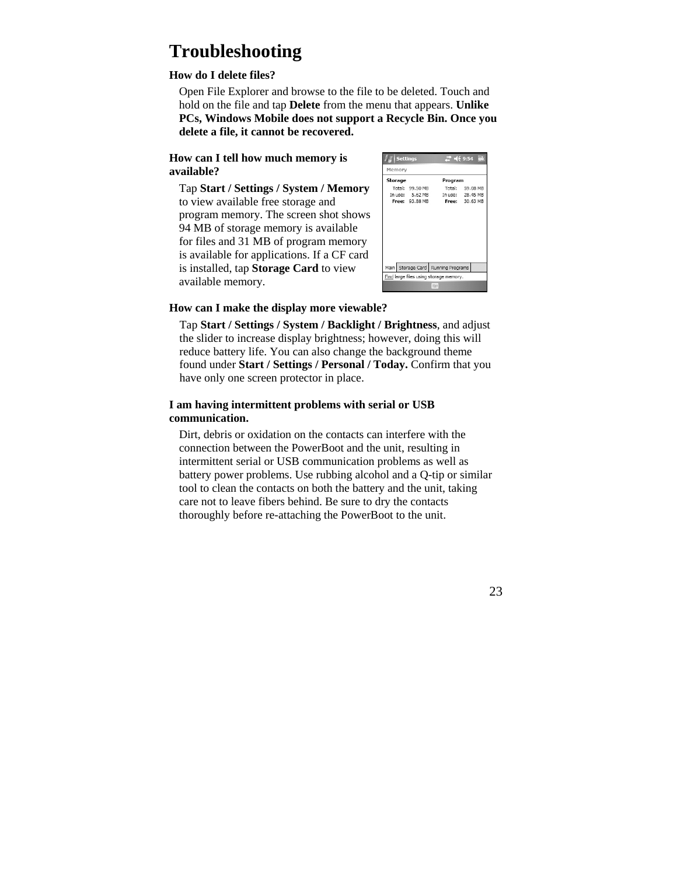# **Troubleshooting**

#### **How do I delete files?**

Open File Explorer and browse to the file to be deleted. Touch and hold on the file and tap **Delete** from the menu that appears. **Unlike PCs, Windows Mobile does not support a Recycle Bin. Once you delete a file, it cannot be recovered.** 

#### **How can I tell how much memory is available?**

Tap **Start / Settings / System / Memory** to view available free storage and program memory. The screen shot shows 94 MB of storage memory is available for files and 31 MB of program memory is available for applications. If a CF card is installed, tap **Storage Card** to view available memory.

| <b>Settings</b>                        |                       |                                      | $22 + 469.54$    | ok       |  |  |
|----------------------------------------|-----------------------|--------------------------------------|------------------|----------|--|--|
| Memory                                 |                       |                                      |                  |          |  |  |
| Storage                                |                       |                                      | Program          |          |  |  |
|                                        | Total: 99.50 MB       |                                      | Total:           | 59.08 MB |  |  |
|                                        | In use: 5.62 MB       |                                      | In use: 28.45 MB |          |  |  |
|                                        | <b>Free: 93.88 MB</b> |                                      | Free: 30.63 MB   |          |  |  |
|                                        |                       | Main Storage Card   Running Programs |                  |          |  |  |
|                                        |                       |                                      |                  |          |  |  |
| Find large files using storage memory. |                       |                                      |                  |          |  |  |
|                                        |                       |                                      |                  |          |  |  |

#### **How can I make the display more viewable?**

Tap **Start / Settings / System / Backlight / Brightness**, and adjust the slider to increase display brightness; however, doing this will reduce battery life. You can also change the background theme found under **Start / Settings / Personal / Today.** Confirm that you have only one screen protector in place.

#### **I am having intermittent problems with serial or USB communication.**

Dirt, debris or oxidation on the contacts can interfere with the connection between the PowerBoot and the unit, resulting in intermittent serial or USB communication problems as well as battery power problems. Use rubbing alcohol and a Q-tip or similar tool to clean the contacts on both the battery and the unit, taking care not to leave fibers behind. Be sure to dry the contacts thoroughly before re-attaching the PowerBoot to the unit.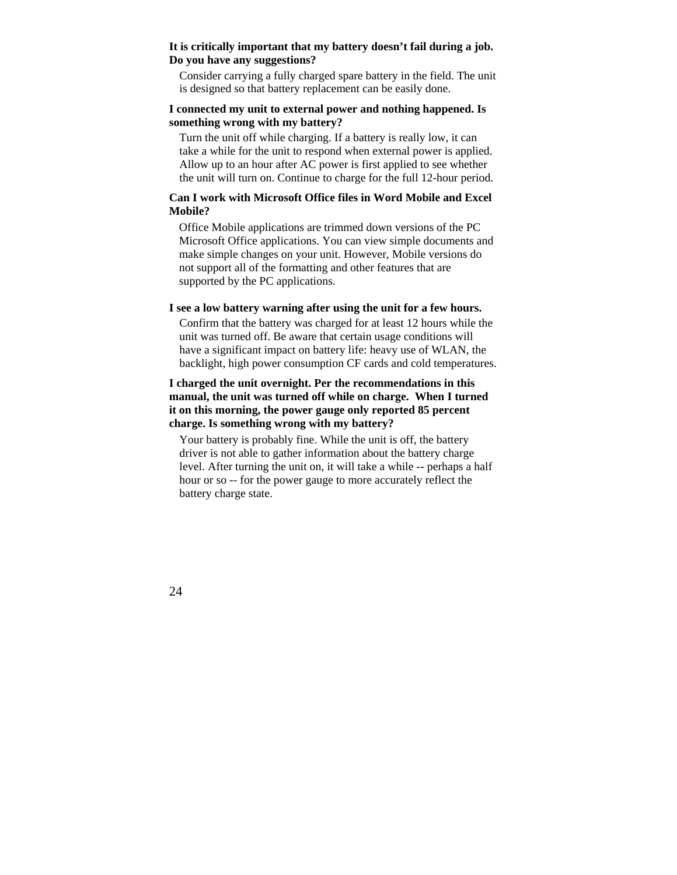#### **It is critically important that my battery doesn't fail during a job. Do you have any suggestions?**

Consider carrying a fully charged spare battery in the field. The unit is designed so that battery replacement can be easily done.

#### **I connected my unit to external power and nothing happened. Is something wrong with my battery?**

Turn the unit off while charging. If a battery is really low, it can take a while for the unit to respond when external power is applied. Allow up to an hour after AC power is first applied to see whether the unit will turn on. Continue to charge for the full 12-hour period.

#### **Can I work with Microsoft Office files in Word Mobile and Excel Mobile?**

Office Mobile applications are trimmed down versions of the PC Microsoft Office applications. You can view simple documents and make simple changes on your unit. However, Mobile versions do not support all of the formatting and other features that are supported by the PC applications.

#### **I see a low battery warning after using the unit for a few hours.**

Confirm that the battery was charged for at least 12 hours while the unit was turned off. Be aware that certain usage conditions will have a significant impact on battery life: heavy use of WLAN, the backlight, high power consumption CF cards and cold temperatures.

#### **I charged the unit overnight. Per the recommendations in this manual, the unit was turned off while on charge. When I turned it on this morning, the power gauge only reported 85 percent charge. Is something wrong with my battery?**

Your battery is probably fine. While the unit is off, the battery driver is not able to gather information about the battery charge level. After turning the unit on, it will take a while -- perhaps a half hour or so -- for the power gauge to more accurately reflect the battery charge state.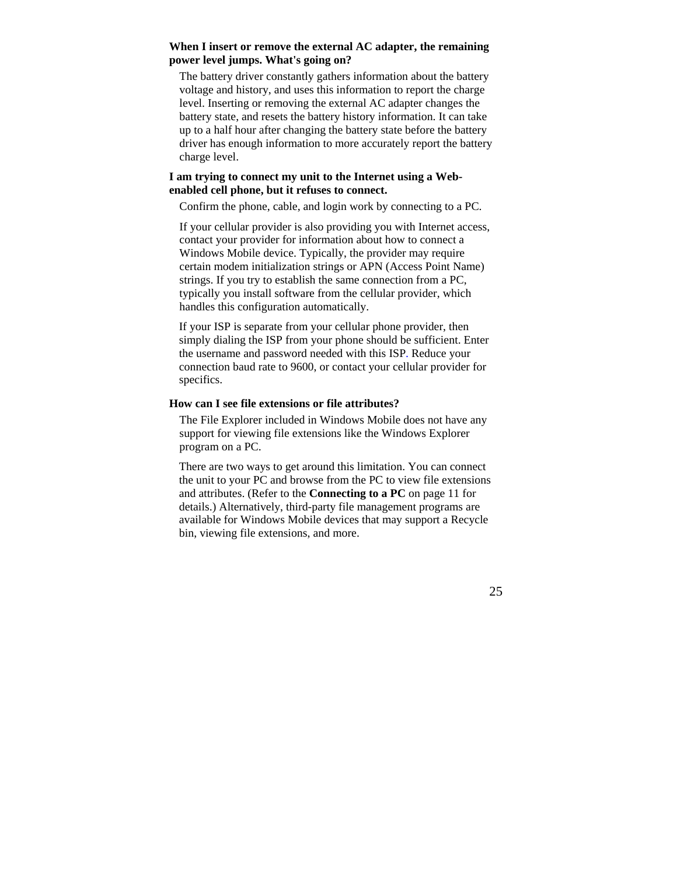#### **When I insert or remove the external AC adapter, the remaining power level jumps. What's going on?**

The battery driver constantly gathers information about the battery voltage and history, and uses this information to report the charge level. Inserting or removing the external AC adapter changes the battery state, and resets the battery history information. It can take up to a half hour after changing the battery state before the battery driver has enough information to more accurately report the battery charge level.

#### **I am trying to connect my unit to the Internet using a Webenabled cell phone, but it refuses to connect.**

Confirm the phone, cable, and login work by connecting to a PC.

If your cellular provider is also providing you with Internet access, contact your provider for information about how to connect a Windows Mobile device. Typically, the provider may require certain modem initialization strings or APN (Access Point Name) strings. If you try to establish the same connection from a PC, typically you install software from the cellular provider, which handles this configuration automatically.

If your ISP is separate from your cellular phone provider, then simply dialing the ISP from your phone should be sufficient. Enter the username and password needed with this ISP. Reduce your connection baud rate to 9600, or contact your cellular provider for specifics.

#### **How can I see file extensions or file attributes?**

The File Explorer included in Windows Mobile does not have any support for viewing file extensions like the Windows Explorer program on a PC.

There are two ways to get around this limitation. You can connect the unit to your PC and browse from the PC to view file extensions and attributes. (Refer to the **Connecting to a PC** on page 11 for details.) Alternatively, third-party file management programs are available for Windows Mobile devices that may support a Recycle bin, viewing file extensions, and more.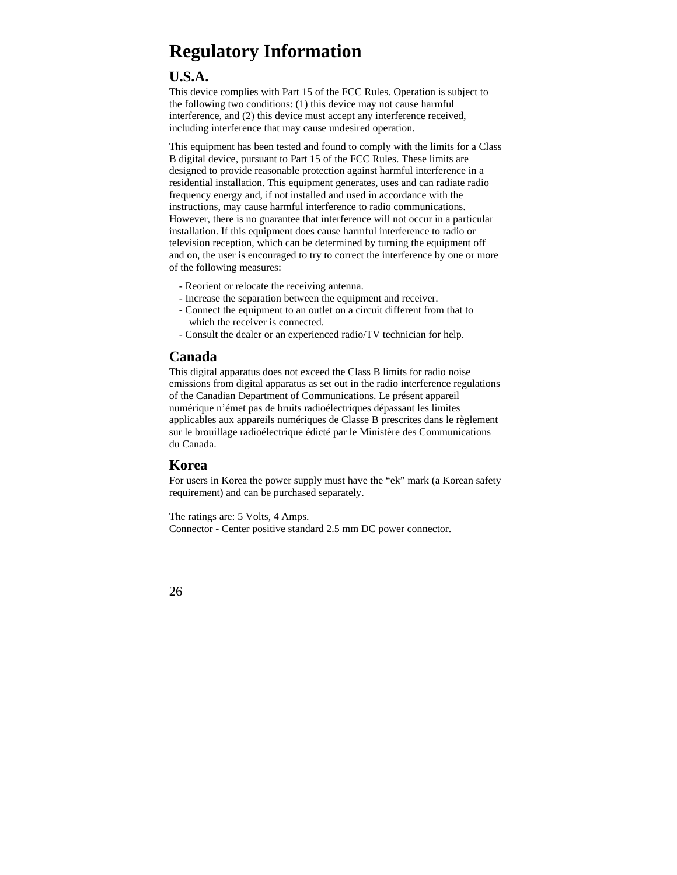# **Regulatory Information**

# **U.S.A.**

This device complies with Part 15 of the FCC Rules. Operation is subject to the following two conditions: (1) this device may not cause harmful interference, and (2) this device must accept any interference received, including interference that may cause undesired operation.

This equipment has been tested and found to comply with the limits for a Class B digital device, pursuant to Part 15 of the FCC Rules. These limits are designed to provide reasonable protection against harmful interference in a residential installation. This equipment generates, uses and can radiate radio frequency energy and, if not installed and used in accordance with the instructions, may cause harmful interference to radio communications. However, there is no guarantee that interference will not occur in a particular installation. If this equipment does cause harmful interference to radio or television reception, which can be determined by turning the equipment off and on, the user is encouraged to try to correct the interference by one or more of the following measures:

- Reorient or relocate the receiving antenna.
- Increase the separation between the equipment and receiver.
- Connect the equipment to an outlet on a circuit different from that to which the receiver is connected.
- Consult the dealer or an experienced radio/TV technician for help.

## **Canada**

This digital apparatus does not exceed the Class B limits for radio noise emissions from digital apparatus as set out in the radio interference regulations of the Canadian Department of Communications. Le présent appareil numérique n'émet pas de bruits radioélectriques dépassant les limites applicables aux appareils numériques de Classe B prescrites dans le règlement sur le brouillage radioélectrique édicté par le Ministère des Communications du Canada.

## **Korea**

For users in Korea the power supply must have the "ek" mark (a Korean safety requirement) and can be purchased separately.

The ratings are: 5 Volts, 4 Amps. Connector - Center positive standard 2.5 mm DC power connector.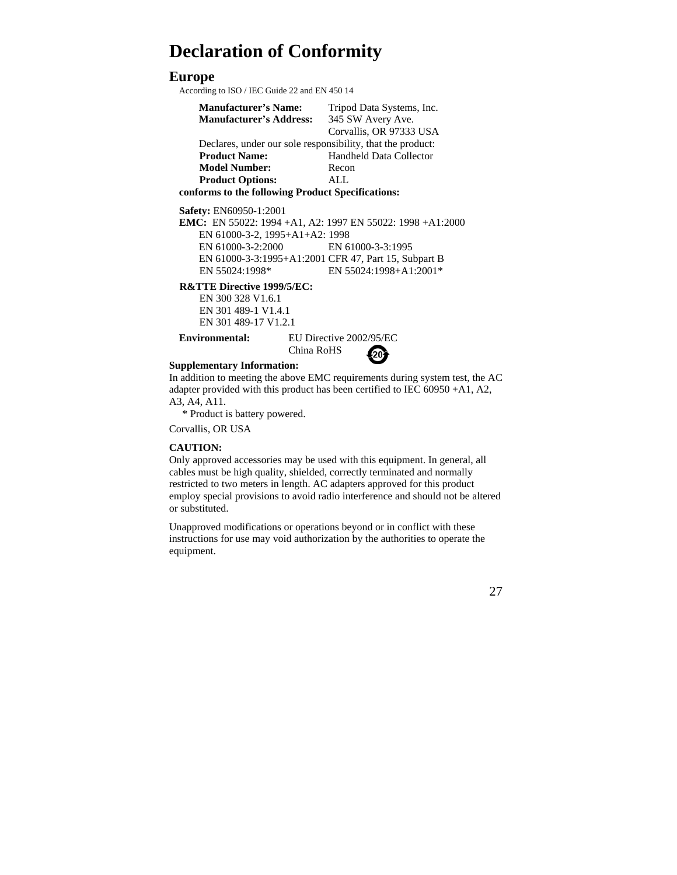# **Declaration of Conformity**

## **Europe**

According to ISO / IEC Guide 22 and EN 450 14

| <b>Manufacturer's Name:</b>                                | Tripod Data Systems, Inc.      |  |  |  |  |
|------------------------------------------------------------|--------------------------------|--|--|--|--|
| <b>Manufacturer's Address:</b>                             | 345 SW Avery Ave.              |  |  |  |  |
|                                                            | Corvallis, OR 97333 USA        |  |  |  |  |
| Declares, under our sole responsibility, that the product: |                                |  |  |  |  |
| <b>Product Name:</b>                                       | <b>Handheld Data Collector</b> |  |  |  |  |
| <b>Model Number:</b>                                       | Recon                          |  |  |  |  |
| <b>Product Options:</b>                                    | ALL.                           |  |  |  |  |
| conforms to the following Product Specifications:          |                                |  |  |  |  |

**Safety:** EN60950-1:2001

**EMC:** EN 55022: 1994 +A1, A2: 1997 EN 55022: 1998 +A1:2000 EN 61000-3-2, 1995+A1+A2: 1998 EN 61000-3-2:2000 EN 61000-3-3:1995 EN 61000-3-3:1995+A1:2001 CFR 47, Part 15, Subpart B EN 55024:1998\* EN 55024:1998+A1:2001\*

**R&TTE Directive 1999/5/EC:** 

EN 300 328 V1.6.1 EN 301 489-1 V1.4.1 EN 301 489-17 V1.2.1

**Environmental:** EU Directive 2002/95/EC

China RoHS

#### **Supplementary Information:**

In addition to meeting the above EMC requirements during system test, the AC adapter provided with this product has been certified to IEC 60950 +A1, A2, A3, A4, A11.

\* Product is battery powered.

Corvallis, OR USA

#### **CAUTION:**

Only approved accessories may be used with this equipment. In general, all cables must be high quality, shielded, correctly terminated and normally restricted to two meters in length. AC adapters approved for this product employ special provisions to avoid radio interference and should not be altered or substituted.

Unapproved modifications or operations beyond or in conflict with these instructions for use may void authorization by the authorities to operate the equipment.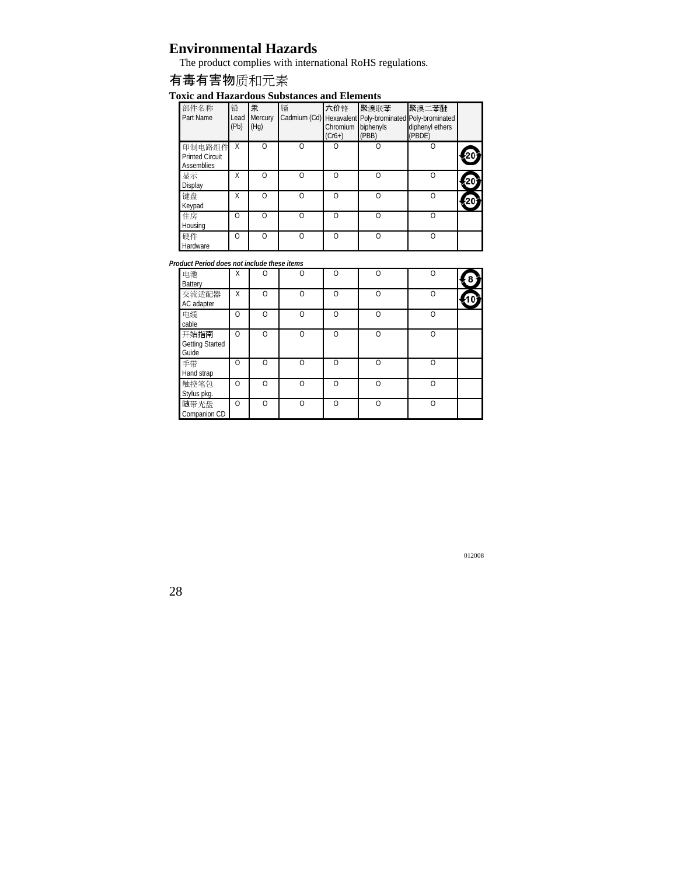## **Environmental Hazards**

The product complies with international RoHS regulations.

## 有毒有害物质和元素

#### **Toxic and Hazardous Substances and Elements**

| 部件名称<br>Part Name                              | 铅<br>Lead<br>(Pb) | 汞<br>Mercury<br>(Hg) | 镉        | 六价铬<br>Chromium<br>$(Cr6+)$ | 聚溴联苯<br>Cadmium (Cd) Hexavalent Poly-brominated Poly-brominated<br>biphenyls<br>(PBB) | 聚溴二苯醚<br>diphenyl ethers<br>(PBDE) |  |
|------------------------------------------------|-------------------|----------------------|----------|-----------------------------|---------------------------------------------------------------------------------------|------------------------------------|--|
| 印制电路组件<br><b>Printed Circuit</b><br>Assemblies | Χ                 | $\cap$               | $\Omega$ | $\Omega$                    | $\Omega$                                                                              | $\Omega$                           |  |
| 显示<br>Display                                  | Χ                 | ∩                    | $\Omega$ | ∩                           | ∩                                                                                     | $\Omega$                           |  |
| 键盘<br>Keypad                                   | Χ                 | ∩                    | $\Omega$ | ∩                           |                                                                                       | $\Omega$                           |  |
| 住房<br>Housing                                  | $\Omega$          | ∩                    | $\Omega$ | ∩                           |                                                                                       | $\Omega$                           |  |
| 硬件<br>Hardware                                 | $\Omega$          | ∩                    | $\Omega$ | $\cap$                      | ∩                                                                                     | $\Omega$                           |  |

*Product Period does not include these items* 

| 电池<br>Battery                           | Χ        | ∩      | $\Omega$ | $\Omega$ | $\Omega$ | $\Omega$ |  |
|-----------------------------------------|----------|--------|----------|----------|----------|----------|--|
| 交流适配器<br>AC adapter                     | Χ        | ∩      | $\Omega$ | $\Omega$ | $\Omega$ | $\Omega$ |  |
| 电缆<br>cable                             | $\Omega$ | $\cap$ | $\Omega$ | $\Omega$ | ∩        | $\Omega$ |  |
| 开始指南<br><b>Getting Started</b><br>Guide | $\Omega$ | $\cap$ | $\Omega$ | $\Omega$ | $\cap$   | $\Omega$ |  |
| 手带<br>Hand strap                        | $\Omega$ | $\cap$ | $\Omega$ | $\Omega$ | Ω        | $\Omega$ |  |
| 触控笔包<br>Stylus pkg.                     | $\Omega$ | $\cap$ | $\cap$   | $\Omega$ | $\cap$   | $\Omega$ |  |
| 随带光盘<br>Companion CD                    | $\Omega$ | $\cap$ | $\Omega$ | $\Omega$ | $\cap$   | $\Omega$ |  |

012008